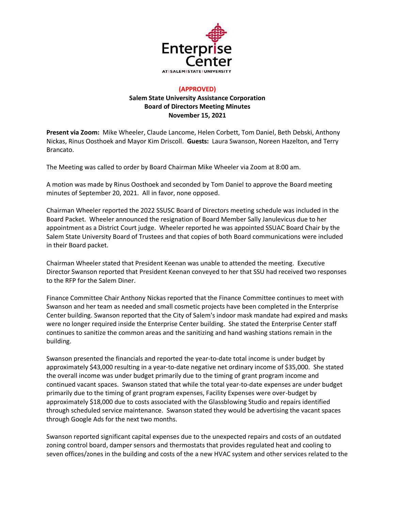

## **(APPROVED) Salem State University Assistance Corporation Board of Directors Meeting Minutes November 15, 2021**

**Present via Zoom:** Mike Wheeler, Claude Lancome, Helen Corbett, Tom Daniel, Beth Debski, Anthony Nickas, Rinus Oosthoek and Mayor Kim Driscoll. **Guests:** Laura Swanson, Noreen Hazelton, and Terry Brancato.

The Meeting was called to order by Board Chairman Mike Wheeler via Zoom at 8:00 am.

A motion was made by Rinus Oosthoek and seconded by Tom Daniel to approve the Board meeting minutes of September 20, 2021. All in favor, none opposed.

Chairman Wheeler reported the 2022 SSUSC Board of Directors meeting schedule was included in the Board Packet. Wheeler announced the resignation of Board Member Sally Janulevicus due to her appointment as a District Court judge. Wheeler reported he was appointed SSUAC Board Chair by the Salem State University Board of Trustees and that copies of both Board communications were included in their Board packet.

Chairman Wheeler stated that President Keenan was unable to attended the meeting. Executive Director Swanson reported that President Keenan conveyed to her that SSU had received two responses to the RFP for the Salem Diner.

Finance Committee Chair Anthony Nickas reported that the Finance Committee continues to meet with Swanson and her team as needed and small cosmetic projects have been completed in the Enterprise Center building. Swanson reported that the City of Salem's indoor mask mandate had expired and masks were no longer required inside the Enterprise Center building. She stated the Enterprise Center staff continues to sanitize the common areas and the sanitizing and hand washing stations remain in the building.

Swanson presented the financials and reported the year-to-date total income is under budget by approximately \$43,000 resulting in a year-to-date negative net ordinary income of \$35,000. She stated the overall income was under budget primarily due to the timing of grant program income and continued vacant spaces. Swanson stated that while the total year-to-date expenses are under budget primarily due to the timing of grant program expenses, Facility Expenses were over-budget by approximately \$18,000 due to costs associated with the Glassblowing Studio and repairs identified through scheduled service maintenance. Swanson stated they would be advertising the vacant spaces through Google Ads for the next two months.

Swanson reported significant capital expenses due to the unexpected repairs and costs of an outdated zoning control board, damper sensors and thermostats that provides regulated heat and cooling to seven offices/zones in the building and costs of the a new HVAC system and other services related to the